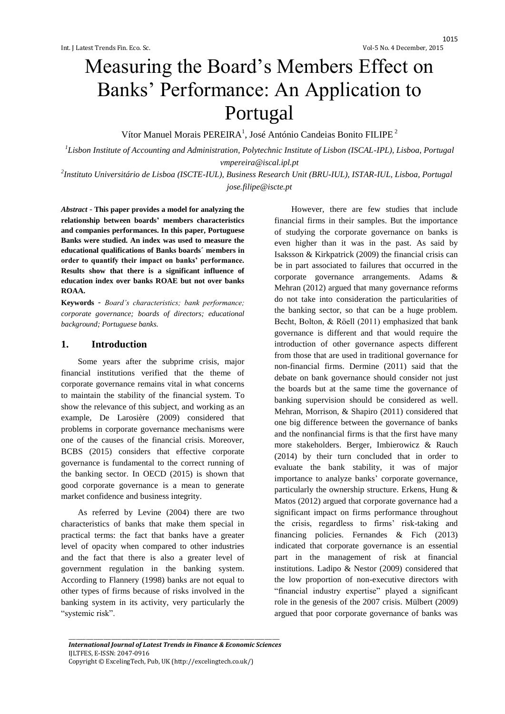# Measuring the Board's Members Effect on Banks' Performance: An Application to Portugal

Vítor Manuel Morais PEREIRA<sup>1</sup>, José António Candeias Bonito FILIPE<sup>2</sup>

*1 Lisbon Institute of Accounting and Administration, Polytechnic Institute of Lisbon (ISCAL-IPL), Lisboa, Portugal vmpereira@iscal.ipl.pt*

*2 Instituto Universitário de Lisboa (ISCTE-IUL), Business Research Unit (BRU-IUL), ISTAR-IUL, Lisboa, Portugal jose.filipe@iscte.pt*

*Abstract* - **This paper provides a model for analyzing the relationship between boards' members characteristics and companies performances. In this paper, Portuguese Banks were studied. An index was used to measure the educational qualifications of Banks boards´ members in order to quantify their impact on banks' performance. Results show that there is a significant influence of education index over banks ROAE but not over banks ROAA.**

**Keywords** *- Board's characteristics; bank performance; corporate governance; boards of directors; educational background; Portuguese banks.*

#### **1. Introduction**

Some years after the subprime crisis, major financial institutions verified that the theme of corporate governance remains vital in what concerns to maintain the stability of the financial system. To show the relevance of this subject, and working as an example, De Larosière (2009) considered that problems in corporate governance mechanisms were one of the causes of the financial crisis. Moreover, BCBS (2015) considers that effective corporate governance is fundamental to the correct running of the banking sector. In OECD (2015) is shown that good corporate governance is a mean to generate market confidence and business integrity.

As referred by Levine (2004) there are two characteristics of banks that make them special in practical terms: the fact that banks have a greater level of opacity when compared to other industries and the fact that there is also a greater level of government regulation in the banking system. According to Flannery (1998) banks are not equal to other types of firms because of risks involved in the banking system in its activity, very particularly the "systemic risk".

However, there are few studies that include financial firms in their samples. But the importance of studying the corporate governance on banks is even higher than it was in the past. As said by Isaksson & Kirkpatrick (2009) the financial crisis can be in part associated to failures that occurred in the corporate governance arrangements. Adams & Mehran (2012) argued that many governance reforms do not take into consideration the particularities of the banking sector, so that can be a huge problem. Becht, Bolton, & Rӧell (2011) emphasized that bank governance is different and that would require the introduction of other governance aspects different from those that are used in traditional governance for non-financial firms. Dermine (2011) said that the debate on bank governance should consider not just the boards but at the same time the governance of banking supervision should be considered as well. Mehran, Morrison, & Shapiro (2011) considered that one big difference between the governance of banks and the nonfinancial firms is that the first have many more stakeholders. Berger, Imbierowicz & Rauch (2014) by their turn concluded that in order to evaluate the bank stability, it was of major importance to analyze banks' corporate governance, particularly the ownership structure. Erkens, Hung & Matos (2012) argued that corporate governance had a significant impact on firms performance throughout the crisis, regardless to firms' risk-taking and financing policies. Fernandes & Fich (2013) indicated that corporate governance is an essential part in the management of risk at financial institutions. Ladipo & Nestor (2009) considered that the low proportion of non-executive directors with "financial industry expertise" played a significant role in the genesis of the 2007 crisis. Mülbert (2009) argued that poor corporate governance of banks was

\_\_\_\_\_\_\_\_\_\_\_\_\_\_\_\_\_\_\_\_\_\_\_\_\_\_\_\_\_\_\_\_\_\_\_\_\_\_\_\_\_\_\_\_\_\_\_\_\_\_\_\_\_\_\_\_\_\_\_\_\_\_\_\_\_\_\_\_\_\_\_\_\_\_\_\_\_\_\_\_\_\_\_\_ *International Journal of Latest Trends in Finance & Economic Sciences* IJLTFES, E-ISSN: 2047-0916 Copyright © ExcelingTech, Pub, UK [\(http://excelingtech.co.uk/\)](http://excelingtech.co.uk/)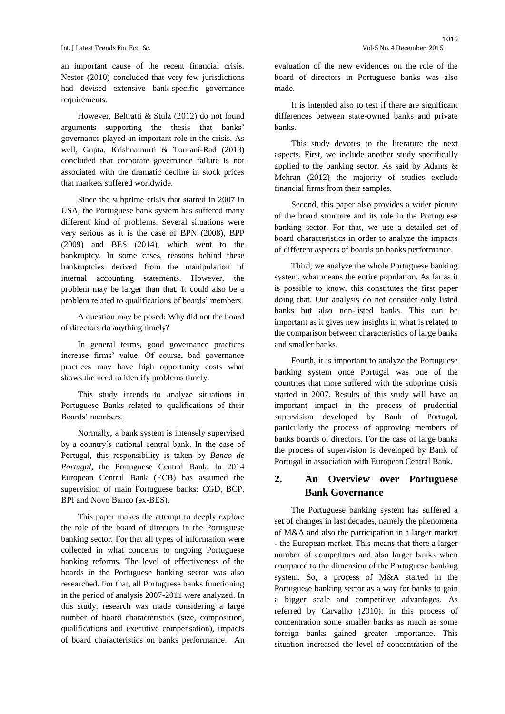an important cause of the recent financial crisis. Nestor (2010) concluded that very few jurisdictions had devised extensive bank-specific governance requirements.

However, Beltratti & Stulz (2012) do not found arguments supporting the thesis that banks' governance played an important role in the crisis. As well, Gupta, Krishnamurti & Tourani-Rad (2013) concluded that corporate governance failure is not associated with the dramatic decline in stock prices that markets suffered worldwide.

Since the subprime crisis that started in 2007 in USA, the Portuguese bank system has suffered many different kind of problems. Several situations were very serious as it is the case of BPN (2008), BPP (2009) and BES (2014), which went to the bankruptcy. In some cases, reasons behind these bankruptcies derived from the manipulation of internal accounting statements. However, the problem may be larger than that. It could also be a problem related to qualifications of boards' members.

A question may be posed: Why did not the board of directors do anything timely?

In general terms, good governance practices increase firms' value. Of course, bad governance practices may have high opportunity costs what shows the need to identify problems timely.

This study intends to analyze situations in Portuguese Banks related to qualifications of their Boards' members.

Normally, a bank system is intensely supervised by a country's national central bank. In the case of Portugal, this responsibility is taken by *Banco de Portugal*, the Portuguese Central Bank. In 2014 European Central Bank (ECB) has assumed the supervision of main Portuguese banks: CGD, BCP, BPI and Novo Banco (ex-BES).

This paper makes the attempt to deeply explore the role of the board of directors in the Portuguese banking sector. For that all types of information were collected in what concerns to ongoing Portuguese banking reforms. The level of effectiveness of the boards in the Portuguese banking sector was also researched. For that, all Portuguese banks functioning in the period of analysis 2007-2011 were analyzed. In this study, research was made considering a large number of board characteristics (size, composition, qualifications and executive compensation), impacts of board characteristics on banks performance. An

evaluation of the new evidences on the role of the board of directors in Portuguese banks was also made.

It is intended also to test if there are significant differences between state-owned banks and private banks.

This study devotes to the literature the next aspects. First, we include another study specifically applied to the banking sector. As said by Adams & Mehran (2012) the majority of studies exclude financial firms from their samples.

Second, this paper also provides a wider picture of the board structure and its role in the Portuguese banking sector. For that, we use a detailed set of board characteristics in order to analyze the impacts of different aspects of boards on banks performance.

Third, we analyze the whole Portuguese banking system, what means the entire population. As far as it is possible to know, this constitutes the first paper doing that. Our analysis do not consider only listed banks but also non-listed banks. This can be important as it gives new insights in what is related to the comparison between characteristics of large banks and smaller banks.

Fourth, it is important to analyze the Portuguese banking system once Portugal was one of the countries that more suffered with the subprime crisis started in 2007. Results of this study will have an important impact in the process of prudential supervision developed by Bank of Portugal, particularly the process of approving members of banks boards of directors. For the case of large banks the process of supervision is developed by Bank of Portugal in association with European Central Bank.

# **2. An Overview over Portuguese Bank Governance**

The Portuguese banking system has suffered a set of changes in last decades, namely the phenomena of M&A and also the participation in a larger market - the European market. This means that there a larger number of competitors and also larger banks when compared to the dimension of the Portuguese banking system. So, a process of M&A started in the Portuguese banking sector as a way for banks to gain a bigger scale and competitive advantages. As referred by Carvalho (2010), in this process of concentration some smaller banks as much as some foreign banks gained greater importance. This situation increased the level of concentration of the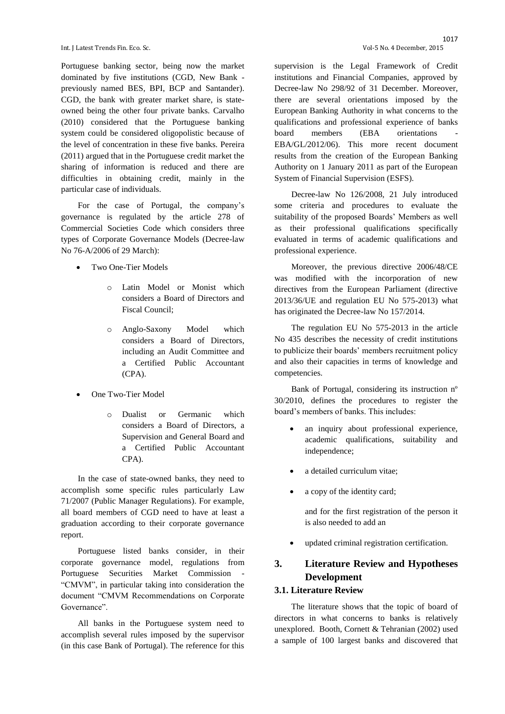Portuguese banking sector, being now the market dominated by five institutions (CGD, New Bank previously named BES, BPI, BCP and Santander). CGD, the bank with greater market share, is stateowned being the other four private banks. Carvalho (2010) considered that the Portuguese banking system could be considered oligopolistic because of the level of concentration in these five banks. Pereira (2011) argued that in the Portuguese credit market the sharing of information is reduced and there are difficulties in obtaining credit, mainly in the particular case of individuals.

For the case of Portugal, the company's governance is regulated by the article 278 of Commercial Societies Code which considers three types of Corporate Governance Models (Decree-law No 76-A/2006 of 29 March):

- Two One-Tier Models
	- o Latin Model or Monist which considers a Board of Directors and Fiscal Council;
	- o Anglo-Saxony Model which considers a Board of Directors, including an Audit Committee and a Certified Public Accountant (CPA).
- One Two-Tier Model
	- o Dualist or Germanic which considers a Board of Directors, a Supervision and General Board and a Certified Public Accountant CPA).

In the case of state-owned banks, they need to accomplish some specific rules particularly Law 71/2007 (Public Manager Regulations). For example, all board members of CGD need to have at least a graduation according to their corporate governance report.

Portuguese listed banks consider, in their corporate governance model, regulations from Portuguese Securities Market Commission - "CMVM", in particular taking into consideration the document "CMVM Recommendations on Corporate Governance".

All banks in the Portuguese system need to accomplish several rules imposed by the supervisor (in this case Bank of Portugal). The reference for this supervision is the Legal Framework of Credit institutions and Financial Companies, approved by Decree-law No 298/92 of 31 December. Moreover, there are several orientations imposed by the European Banking Authority in what concerns to the qualifications and professional experience of banks board members (EBA orientations EBA/GL/2012/06). This more recent document results from the creation of the European Banking Authority on 1 January 2011 as part of the European System of Financial Supervision (ESFS).

Decree-law No 126/2008, 21 July introduced some criteria and procedures to evaluate the suitability of the proposed Boards' Members as well as their professional qualifications specifically evaluated in terms of academic qualifications and professional experience.

Moreover, the previous directive 2006/48/CE was modified with the incorporation of new directives from the European Parliament (directive 2013/36/UE and regulation EU No 575-2013) what has originated the Decree-law No 157/2014.

The regulation EU No 575-2013 in the article No 435 describes the necessity of credit institutions to publicize their boards' members recruitment policy and also their capacities in terms of knowledge and competencies.

Bank of Portugal, considering its instruction nº 30/2010, defines the procedures to register the board's members of banks. This includes:

- an inquiry about professional experience, academic qualifications, suitability and independence;
- a detailed curriculum vitae;
- a copy of the identity card;

and for the first registration of the person it is also needed to add an

updated criminal registration certification.

# **3. Literature Review and Hypotheses Development**

#### **3.1. Literature Review**

The literature shows that the topic of board of directors in what concerns to banks is relatively unexplored. Booth, Cornett & Tehranian (2002) used a sample of 100 largest banks and discovered that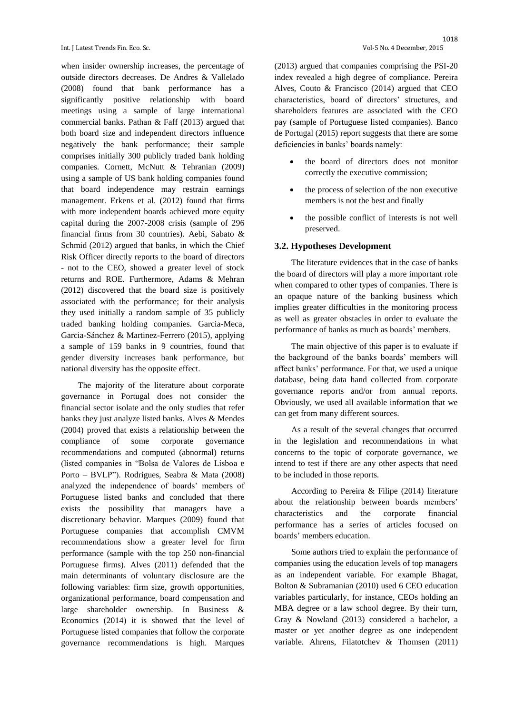when insider ownership increases, the percentage of outside directors decreases. De Andres & Vallelado (2008) found that bank performance has a significantly positive relationship with board meetings using a sample of large international commercial banks. Pathan & Faff (2013) argued that both board size and independent directors influence negatively the bank performance; their sample comprises initially 300 publicly traded bank holding companies. Cornett, McNutt & Tehranian (2009) using a sample of US bank holding companies found that board independence may restrain earnings management. Erkens et al. (2012) found that firms with more independent boards achieved more equity capital during the 2007-2008 crisis (sample of 296 financial firms from 30 countries). Aebi, Sabato & Schmid (2012) argued that banks, in which the Chief Risk Officer directly reports to the board of directors - not to the CEO, showed a greater level of stock returns and ROE. Furthermore, Adams & Mehran (2012) discovered that the board size is positively associated with the performance; for their analysis they used initially a random sample of 35 publicly traded banking holding companies. Garcia-Meca, Garcia-Sánchez & Martinez-Ferrero (2015), applying a sample of 159 banks in 9 countries, found that gender diversity increases bank performance, but national diversity has the opposite effect.

The majority of the literature about corporate governance in Portugal does not consider the financial sector isolate and the only studies that refer banks they just analyze listed banks. Alves & Mendes (2004) proved that exists a relationship between the compliance of some corporate governance recommendations and computed (abnormal) returns (listed companies in "Bolsa de Valores de Lisboa e Porto – BVLP"). Rodrigues, Seabra & Mata (2008) analyzed the independence of boards' members of Portuguese listed banks and concluded that there exists the possibility that managers have a discretionary behavior. Marques (2009) found that Portuguese companies that accomplish CMVM recommendations show a greater level for firm performance (sample with the top 250 non-financial Portuguese firms). Alves (2011) defended that the main determinants of voluntary disclosure are the following variables: firm size, growth opportunities, organizational performance, board compensation and large shareholder ownership. In Business & Economics (2014) it is showed that the level of Portuguese listed companies that follow the corporate governance recommendations is high. Marques (2013) argued that companies comprising the PSI-20 index revealed a high degree of compliance. Pereira Alves, Couto & Francisco (2014) argued that CEO characteristics, board of directors' structures, and shareholders features are associated with the CEO pay (sample of Portuguese listed companies). Banco de Portugal (2015) report suggests that there are some deficiencies in banks' boards namely:

- the board of directors does not monitor correctly the executive commission;
- the process of selection of the non executive members is not the best and finally
- the possible conflict of interests is not well preserved.

#### **3.2. Hypotheses Development**

The literature evidences that in the case of banks the board of directors will play a more important role when compared to other types of companies. There is an opaque nature of the banking business which implies greater difficulties in the monitoring process as well as greater obstacles in order to evaluate the performance of banks as much as boards' members.

The main objective of this paper is to evaluate if the background of the banks boards' members will affect banks' performance. For that, we used a unique database, being data hand collected from corporate governance reports and/or from annual reports. Obviously, we used all available information that we can get from many different sources.

As a result of the several changes that occurred in the legislation and recommendations in what concerns to the topic of corporate governance, we intend to test if there are any other aspects that need to be included in those reports.

According to Pereira & Filipe (2014) literature about the relationship between boards members' characteristics and the corporate financial performance has a series of articles focused on boards' members education.

Some authors tried to explain the performance of companies using the education levels of top managers as an independent variable. For example Bhagat, Bolton & Subramanian (2010) used 6 CEO education variables particularly, for instance, CEOs holding an MBA degree or a law school degree. By their turn, Gray & Nowland (2013) considered a bachelor, a master or yet another degree as one independent variable. Ahrens, Filatotchev & Thomsen (2011)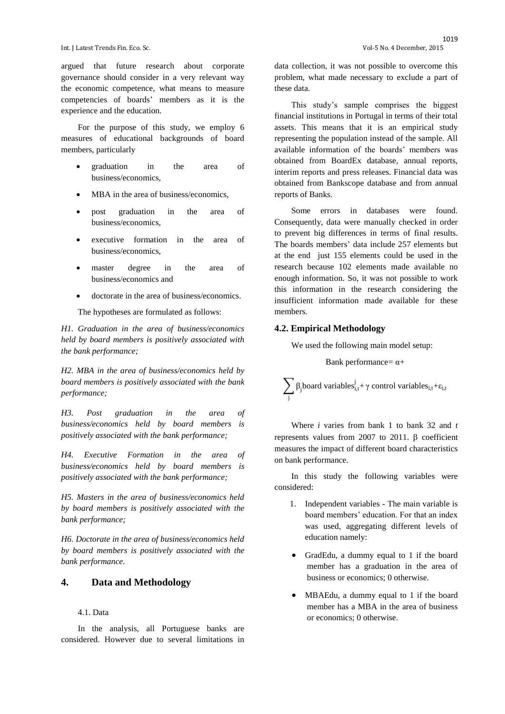argued that future research about corporate governance should consider in a very relevant way the economic competence, what means to measure competencies of boards' members as it is the experience and the education.

For the purpose of this study, we employ 6 measures of educational backgrounds of board members, particularly

- graduation in the area of business/economics,
- MBA in the area of business/economics,
- post graduation in the area of business/economics,
- executive formation in the area of business/economics,
- master degree in the area of business/economics and
- doctorate in the area of business/economics.

The hypotheses are formulated as follows:

*H1. Graduation in the area of business/economics held by board members is positively associated with the bank performance;*

*H2. MBA in the area of business/economics held by board members is positively associated with the bank performance;*

*H3. Post graduation in the area of business/economics held by board members is positively associated with the bank performance;*

*H4. Executive Formation in the area of business/economics held by board members is positively associated with the bank performance;*

*H5. Masters in the area of business/economics held by board members is positively associated with the bank performance;*

*H6. Doctorate in the area of business/economics held by board members is positively associated with the bank performance.*

## **4. Data and Methodology**

#### 4.1. Data

In the analysis, all Portuguese banks are considered. However due to several limitations in

data collection, it was not possible to overcome this problem, what made necessary to exclude a part of these data.

This study's sample comprises the biggest financial institutions in Portugal in terms of their total assets. This means that it is an empirical study representing the population instead of the sample. All available information of the boards' members was obtained from BoardEx database, annual reports, interim reports and press releases. Financial data was obtained from Bankscope database and from annual reports of Banks.

Some errors in databases were found. Consequently, data were manually checked in order to prevent big differences in terms of final results. The boards members' data include 257 elements but at the end just 155 elements could be used in the research because 102 elements made available no enough information. So, it was not possible to work this information in the research considering the insufficient information made available for these members.

#### **4.2. Empirical Methodology**

We used the following main model setup:

Bank performance=  $\alpha$ +

 $\sum_{i} \beta_j$ board variables $s_{i,t}^j + \gamma$  control variables<sub>i,t</sub>+ $\varepsilon_{i,t}$ j

Where *i* varies from bank 1 to bank 32 and *t* represents values from 2007 to 2011.  $\beta$  coefficient measures the impact of different board characteristics on bank performance.

In this study the following variables were considered:

- 1. Independent variables The main variable is board members' education. For that an index was used, aggregating different levels of education namely:
- GradEdu, a dummy equal to 1 if the board member has a graduation in the area of business or economics; 0 otherwise.
- MBAEdu, a dummy equal to 1 if the board member has a MBA in the area of business or economics; 0 otherwise.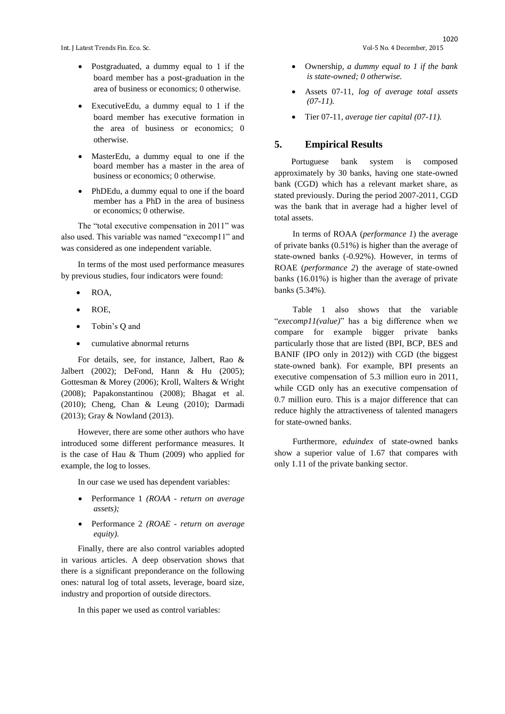Int. J Latest Trends Fin. Eco. Sc. Vol-5 No. 4 December, 2015

- Postgraduated, a dummy equal to 1 if the board member has a post-graduation in the area of business or economics; 0 otherwise.
- ExecutiveEdu, a dummy equal to 1 if the board member has executive formation in the area of business or economics; 0 otherwise.
- MasterEdu, a dummy equal to one if the board member has a master in the area of business or economics; 0 otherwise.
- PhDEdu, a dummy equal to one if the board member has a PhD in the area of business or economics; 0 otherwise.

The "total executive compensation in 2011" was also used. This variable was named "execomp11" and was considered as one independent variable.

In terms of the most used performance measures by previous studies, four indicators were found:

- ROA,
- ROE,
- Tobin's Q and
- cumulative abnormal returns

For details, see, for instance, Jalbert, Rao & Jalbert (2002); DeFond, Hann & Hu (2005); Gottesman & Morey (2006); Kroll, Walters & Wright (2008); Papakonstantinou (2008); Bhagat et al. (2010); Cheng, Chan & Leung (2010); Darmadi (2013); Gray & Nowland (2013).

However, there are some other authors who have introduced some different performance measures. It is the case of Hau & Thum (2009) who applied for example, the log to losses.

In our case we used has dependent variables:

- Performance 1 *(ROAA - return on average assets);*
- Performance 2 *(ROAE - return on average equity).*

Finally, there are also control variables adopted in various articles. A deep observation shows that there is a significant preponderance on the following ones: natural log of total assets, leverage, board size, industry and proportion of outside directors.

In this paper we used as control variables:

- Ownership*, a dummy equal to 1 if the bank is state-owned; 0 otherwise.*
- Assets 07-11*, log of average total assets (07-11).*
- Tier 07-11*, average tier capital (07-11).*

#### **5. Empirical Results**

Portuguese bank system is composed approximately by 30 banks, having one state-owned bank (CGD) which has a relevant market share, as stated previously. During the period 2007-2011, CGD was the bank that in average had a higher level of total assets.

In terms of ROAA (*performance 1*) the average of private banks (0.51%) is higher than the average of state-owned banks (-0.92%). However, in terms of ROAE (*performance 2*) the average of state-owned banks (16.01%) is higher than the average of private banks (5.34%).

Table 1 also shows that the variable "*execomp11(value)*" has a big difference when we compare for example bigger private banks particularly those that are listed (BPI, BCP, BES and BANIF (IPO only in 2012)) with CGD (the biggest state-owned bank). For example, BPI presents an executive compensation of 5.3 million euro in 2011, while CGD only has an executive compensation of 0.7 million euro. This is a major difference that can reduce highly the attractiveness of talented managers for state-owned banks.

Furthermore, *eduindex* of state-owned banks show a superior value of 1.67 that compares with only 1.11 of the private banking sector.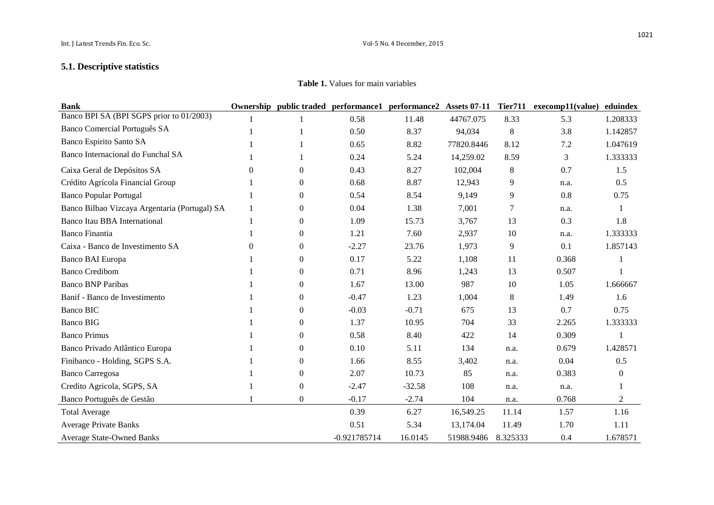# **5.1. Descriptive statistics**

**Table 1.** Values for main variables

| <b>Bank</b>                                   |          |                  | Ownership public traded performance1 performance2 |          | <b>Assets 07-11</b> | <b>Tier711</b> | execomp11(value) | eduindex         |
|-----------------------------------------------|----------|------------------|---------------------------------------------------|----------|---------------------|----------------|------------------|------------------|
| Banco BPI SA (BPI SGPS prior to 01/2003)      |          |                  | 0.58                                              | 11.48    | 44767.075           | 8.33           | 5.3              | 1.208333         |
| Banco Comercial Português SA                  |          |                  | 0.50                                              | 8.37     | 94,034              | $\,8\,$        | 3.8              | 1.142857         |
| Banco Espirito Santo SA                       |          |                  | 0.65                                              | 8.82     | 77820.8446          | 8.12           | 7.2              | 1.047619         |
| Banco Internacional do Funchal SA             |          |                  | 0.24                                              | 5.24     | 14,259.02           | 8.59           | 3                | 1.333333         |
| Caixa Geral de Depósitos SA                   | 0        | $\Omega$         | 0.43                                              | 8.27     | 102,004             | $\,8\,$        | 0.7              | 1.5              |
| Crédito Agrícola Financial Group              |          | $\overline{0}$   | 0.68                                              | 8.87     | 12,943              | 9              | n.a.             | 0.5              |
| <b>Banco Popular Portugal</b>                 |          | $\overline{0}$   | 0.54                                              | 8.54     | 9,149               | 9              | 0.8              | 0.75             |
| Banco Bilbao Vizcaya Argentaria (Portugal) SA |          | $\overline{0}$   | 0.04                                              | 1.38     | 7,001               | 7              | n.a.             |                  |
| Banco Itau BBA International                  |          | $\overline{0}$   | 1.09                                              | 15.73    | 3,767               | 13             | 0.3              | 1.8              |
| <b>Banco Finantia</b>                         |          | $\mathbf{0}$     | 1.21                                              | 7.60     | 2,937               | 10             | n.a.             | 1.333333         |
| Caixa - Banco de Investimento SA              | $\theta$ | $\overline{0}$   | $-2.27$                                           | 23.76    | 1,973               | 9              | 0.1              | 1.857143         |
| Banco BAI Europa                              |          | $\overline{0}$   | 0.17                                              | 5.22     | 1,108               | 11             | 0.368            |                  |
| <b>Banco Credibom</b>                         |          | $\overline{0}$   | 0.71                                              | 8.96     | 1,243               | 13             | 0.507            |                  |
| <b>Banco BNP Paribas</b>                      |          | $\overline{0}$   | 1.67                                              | 13.00    | 987                 | 10             | 1.05             | 1.666667         |
| Banif - Banco de Investimento                 |          | $\overline{0}$   | $-0.47$                                           | 1.23     | 1,004               | $\,8\,$        | 1.49             | 1.6              |
| <b>Banco BIC</b>                              |          | $\overline{0}$   | $-0.03$                                           | $-0.71$  | 675                 | 13             | 0.7              | 0.75             |
| <b>Banco BIG</b>                              |          | $\overline{0}$   | 1.37                                              | 10.95    | 704                 | 33             | 2.265            | 1.333333         |
| <b>Banco Primus</b>                           |          | $\overline{0}$   | 0.58                                              | 8.40     | 422                 | 14             | 0.309            |                  |
| Banco Privado Atlântico Europa                |          | $\boldsymbol{0}$ | 0.10                                              | 5.11     | 134                 | n.a.           | 0.679            | 1.428571         |
| Finibanco - Holding, SGPS S.A.                |          | $\overline{0}$   | 1.66                                              | 8.55     | 3,402               | n.a.           | 0.04             | 0.5              |
| <b>Banco Carregosa</b>                        |          | $\overline{0}$   | 2.07                                              | 10.73    | 85                  | n.a.           | 0.383            | $\boldsymbol{0}$ |
| Credito Agricola, SGPS, SA                    |          | $\overline{0}$   | $-2.47$                                           | $-32.58$ | 108                 | n.a.           | n.a.             |                  |
| Banco Português de Gestão                     |          | $\overline{0}$   | $-0.17$                                           | $-2.74$  | 104                 | n.a.           | 0.768            | $\overline{2}$   |
| <b>Total Average</b>                          |          |                  | 0.39                                              | 6.27     | 16,549.25           | 11.14          | 1.57             | 1.16             |
| <b>Average Private Banks</b>                  |          |                  | 0.51                                              | 5.34     | 13,174.04           | 11.49          | 1.70             | 1.11             |
| <b>Average State-Owned Banks</b>              |          |                  | $-0.921785714$                                    | 16.0145  | 51988.9486          | 8.325333       | 0.4              | 1.678571         |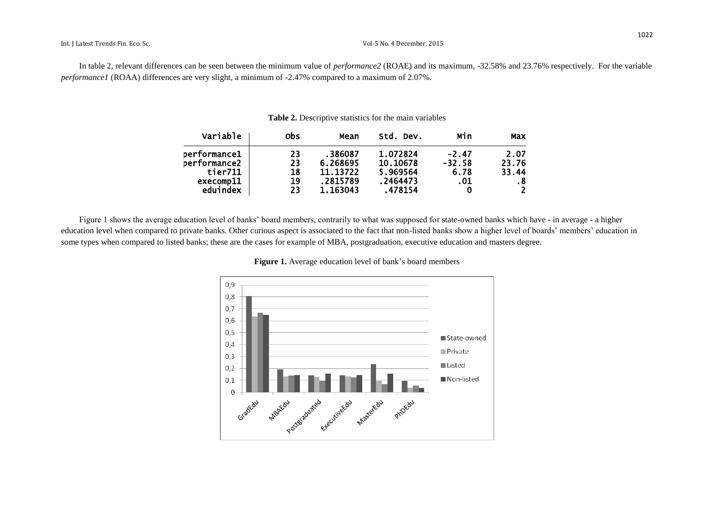In table 2, relevant differences can be seen between the minimum value of *performance2* (ROAE) and its maximum, -32.58% and 23.76% respectively. For the variable *performance1* (ROAA) differences are very slight, a minimum of -2.47% compared to a maximum of 2.07%.

| Variable     | 0bs | Mean     | Std. Dev. | Min      | Max            |
|--------------|-----|----------|-----------|----------|----------------|
| performance1 | 23  | .386087  | 1.072824  | $-2.47$  | 2.07           |
| performance2 | 23  | 6.268695 | 10.10678  | $-32.58$ | 23.76          |
| tier711      | 18  | 11.13722 | 5.969564  | 6.78     | 33.44          |
| execomp11    | 19  | .2815789 | .2464473  | .01      | .8             |
| eduindex     | 23  | 1.163043 | .478154   | 0        | $\overline{2}$ |

#### **Table 2.** Descriptive statistics for the main variables

Figure 1 shows the average education level of banks' board members, contrarily to what was supposed for state-owned banks which have - in average - a higher education level when compared to private banks. Other curious aspect is associated to the fact that non-listed banks show a higher level of boards' members' education in some types when compared to listed banks; these are the cases for example of MBA, postgraduation, executive education and masters degree.

#### **Figure 1.** Average education level of bank's board members

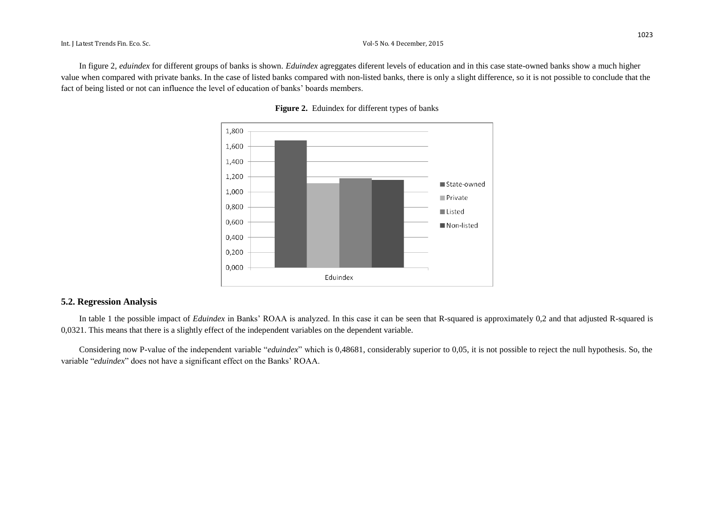In figure 2, *eduindex* for different groups of banks is shown. *Eduindex* agreggates diferent levels of education and in this case state-owned banks show a much higher value when compared with private banks. In the case of listed banks compared with non-listed banks, there is only a slight difference, so it is not possible to conclude that the fact of being listed or not can influence the level of education of banks' boards members.





#### **5.2. Regression Analysis**

In table 1 the possible impact of *Eduindex* in Banks' ROAA is analyzed. In this case it can be seen that R-squared is approximately 0,2 and that adjusted R-squared is 0,0321. This means that there is a slightly effect of the independent variables on the dependent variable.

Considering now P-value of the independent variable "*eduindex*" which is 0,48681, considerably superior to 0,05, it is not possible to reject the null hypothesis. So, the variable "*eduindex*" does not have a significant effect on the Banks' ROAA.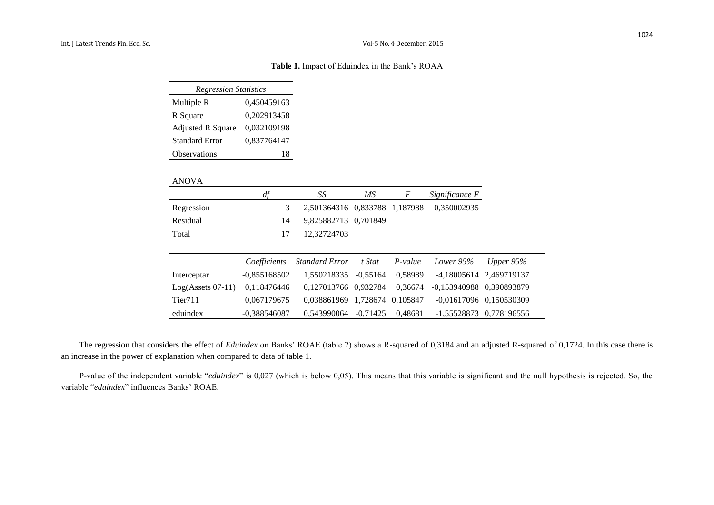#### **Table 1.** Impact of Eduindex in the Bank's ROAA

| <b>Regression Statistics</b> |             |  |  |  |  |
|------------------------------|-------------|--|--|--|--|
| Multiple R                   | 0,450459163 |  |  |  |  |
| R Square                     | 0,202913458 |  |  |  |  |
| <b>Adjusted R Square</b>     | 0,032109198 |  |  |  |  |
| Standard Error               | 0,837764147 |  |  |  |  |
| Observations                 | 18          |  |  |  |  |

#### ANOVA

|                     | df             | SS                            | MS         | F         | Significance F           |                           |
|---------------------|----------------|-------------------------------|------------|-----------|--------------------------|---------------------------|
| Regression          | 3              | 2,501364316 0,833788 1,187988 |            |           | 0,350002935              |                           |
| Residual            | 14             | 9,825882713 0,701849          |            |           |                          |                           |
| Total               | 17             | 12,32724703                   |            |           |                          |                           |
|                     |                |                               |            |           |                          |                           |
|                     | Coefficients   | <b>Standard Error</b>         | t Stat     | $P-value$ | Lower $95%$              | Upper $95\%$              |
| Interceptar         | $-0,855168502$ | 1.550218335                   | $-0.55164$ | 0,58989   |                          | -4,18005614 2,469719137   |
| $Log(Asests 07-11)$ | 0,118476446    | 0.127013766 0.932784          |            | 0.36674   | -0,153940988 0,390893879 |                           |
| Tier <sub>711</sub> | 0,067179675    | 0,038861969 1,728674 0,105847 |            |           |                          | $-0,01617096$ 0,150530309 |
| eduindex            | $-0.388546087$ | 0.543990064                   | $-0.71425$ | 0.48681   |                          | -1.55528873 0.778196556   |

The regression that considers the effect of *Eduindex* on Banks' ROAE (table 2) shows a R-squared of 0,3184 and an adjusted R-squared of 0,1724. In this case there is an increase in the power of explanation when compared to data of table 1.

P-value of the independent variable "*eduindex*" is 0,027 (which is below 0,05). This means that this variable is significant and the null hypothesis is rejected. So, the variable "*eduindex*" influences Banks' ROAE.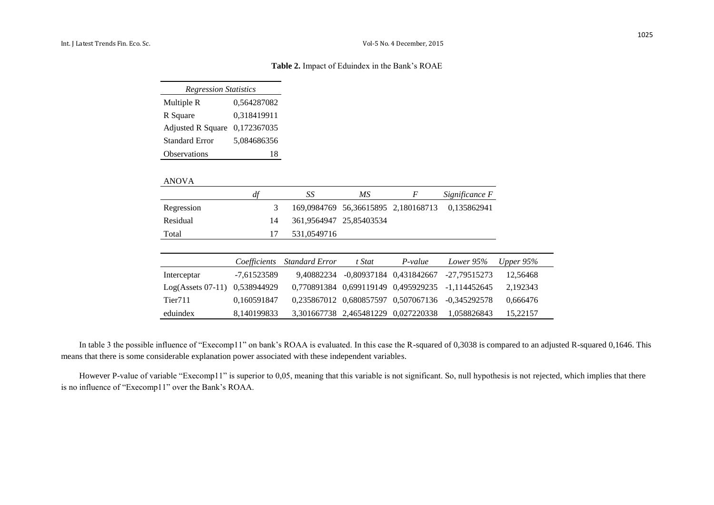#### **Table 2.** Impact of Eduindex in the Bank's ROAE

| <b>Regression Statistics</b> |             |  |  |  |  |
|------------------------------|-------------|--|--|--|--|
| Multiple R                   | 0,564287082 |  |  |  |  |
| R Square                     | 0,318419911 |  |  |  |  |
| <b>Adjusted R Square</b>     | 0,172367035 |  |  |  |  |
| Standard Error               | 5,084686356 |  |  |  |  |
| Observations                 | 18          |  |  |  |  |

#### ANOVA

|            | df | SS                      | МS | F | Significance F                                  |
|------------|----|-------------------------|----|---|-------------------------------------------------|
| Regression | 3  |                         |    |   | 169,0984769 56,36615895 2,180168713 0,135862941 |
| Residual   | 14 | 361,9564947 25,85403534 |    |   |                                                 |
| Total      | 17 | 531,0549716             |    |   |                                                 |

|                                 |             | Coefficients Standard Error | t Stat                              | P-value                            | Lower 95%                                        | Upper $95\%$ |
|---------------------------------|-------------|-----------------------------|-------------------------------------|------------------------------------|--------------------------------------------------|--------------|
| Interceptar                     | -7.61523589 |                             |                                     | 9,40882234 -0,80937184 0,431842667 | -27.79515273                                     | 12,56468     |
| $Log(Assets 07-11)$ 0,538944929 |             |                             |                                     |                                    | 0,770891384 0,699119149 0,495929235 -1,114452645 | 2.192343     |
| Tier711                         | 0.160591847 |                             |                                     |                                    | 0,235867012 0,680857597 0,507067136 -0,345292578 | 0,666476     |
| eduindex                        | 8.140199833 |                             | 3,301667738 2,465481229 0,027220338 |                                    | 1.058826843                                      | 15,22157     |

In table 3 the possible influence of "Execomp11" on bank's ROAA is evaluated. In this case the R-squared of 0,3038 is compared to an adjusted R-squared 0,1646. This means that there is some considerable explanation power associated with these independent variables.

However P-value of variable "Execomp11" is superior to 0,05, meaning that this variable is not significant. So, null hypothesis is not rejected, which implies that there is no influence of "Execomp11" over the Bank's ROAA.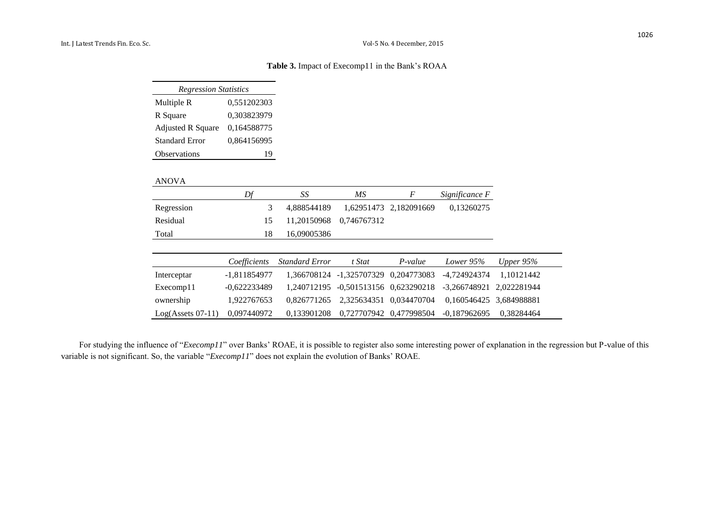#### **Table 3.** Impact of Execomp11 in the Bank's ROAA

| <b>Regression Statistics</b> |             |  |  |  |  |
|------------------------------|-------------|--|--|--|--|
| Multiple R                   | 0,551202303 |  |  |  |  |
| R Square                     | 0,303823979 |  |  |  |  |
| <b>Adjusted R Square</b>     | 0,164588775 |  |  |  |  |
| <b>Standard Error</b>        | 0,864156995 |  |  |  |  |
| <b>Observations</b>          |             |  |  |  |  |

#### ANOVA

|             | Df             | SS                    | $\overline{MS}$                      | F                      | Significance F           |              |
|-------------|----------------|-----------------------|--------------------------------------|------------------------|--------------------------|--------------|
| Regression  | 3              | 4,888544189           |                                      | 1.62951473 2.182091669 | 0,13260275               |              |
| Residual    | 15             | 11,20150968           | 0,746767312                          |                        |                          |              |
| Total       | 18             | 16,09005386           |                                      |                        |                          |              |
|             |                |                       |                                      |                        |                          |              |
|             |                |                       |                                      |                        |                          |              |
|             | Coefficients   | <b>Standard Error</b> | t Stat                               | $P-value$              | Lower 95%                | Upper $95\%$ |
| Interceptar | $-1,811854977$ |                       | 1,366708124 -1,325707329 0,204773083 |                        | -4,724924374             | 1,10121442   |
| Execomp11   | $-0,622233489$ | 1.240712195           | $-0,501513156$ $0,623290218$         |                        | -3,266748921 2,022281944 |              |
| ownership   | 1,922767653    | 0.826771265           | 2,325634351 0,034470704              |                        | 0,160546425 3,684988881  |              |

For studying the influence of "*Execomp11*" over Banks' ROAE, it is possible to register also some interesting power of explanation in the regression but P-value of this variable is not significant. So, the variable "*Execomp11*" does not explain the evolution of Banks' ROAE.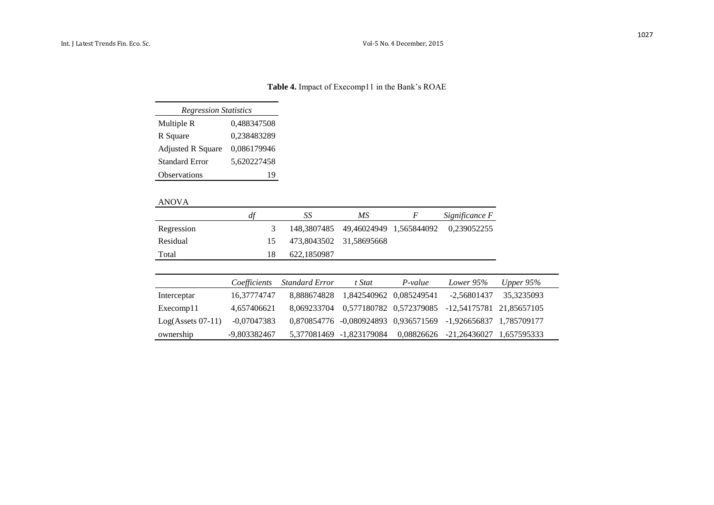# **Table 4.** Impact of Execomp11 in the Bank's ROAE

| <b>Regression Statistics</b> |             |  |  |  |  |  |
|------------------------------|-------------|--|--|--|--|--|
| Multiple R                   | 0,488347508 |  |  |  |  |  |
| R Square                     | 0,238483289 |  |  |  |  |  |
| <b>Adjusted R Square</b>     | 0,086179946 |  |  |  |  |  |
| <b>Standard Error</b>        | 5,620227458 |  |  |  |  |  |
| Observations                 | 19          |  |  |  |  |  |

#### ANOVA

|            | df | SS          | МS                      | <i>Significance F</i>                           |
|------------|----|-------------|-------------------------|-------------------------------------------------|
| Regression |    |             |                         | 148,3807485 49,46024949 1,565844092 0,239052255 |
| Residual   |    |             | 473,8043502 31,58695668 |                                                 |
| Total      |    | 622.1850987 |                         |                                                 |

|                     | Coefficients | Standard Error | t Stat                                | P-value    | Lower 95%                                                     | Upper $95\%$ |
|---------------------|--------------|----------------|---------------------------------------|------------|---------------------------------------------------------------|--------------|
| Interceptar         | 16.37774747  |                | 8,888674828 1,842540962 0,085249541   |            | $-2.56801437$                                                 | 35.3235093   |
| Execomp11           | 4,657406621  |                | 8,069233704  0,577180782  0,572379085 |            | -12,54175781 21,85657105                                      |              |
| $Log(Asests 07-11)$ | -0,07047383  |                |                                       |            | 0,870854776 -0,080924893 0,936571569 -1,926656837 1,785709177 |              |
| ownership           | -9,803382467 |                | 5,377081469 -1,823179084              | 0,08826626 | $-21,26436027$ 1,657595333                                    |              |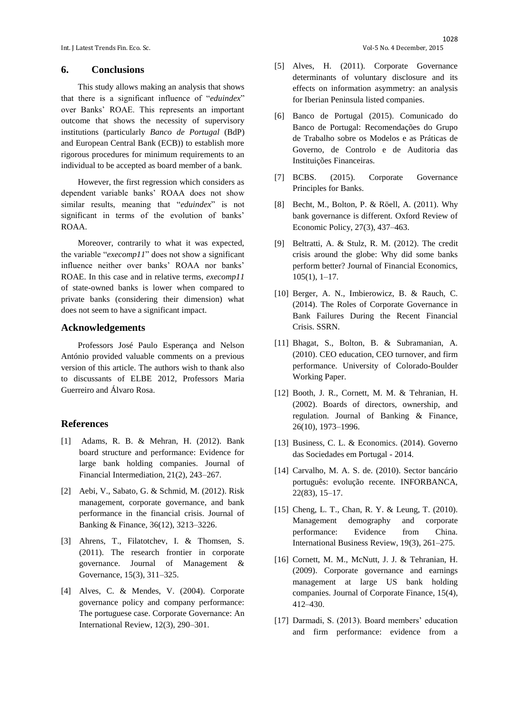Int. J Latest Trends Fin. Eco. Sc. Vol-5 No. 4 December, 2015

#### **6. Conclusions**

This study allows making an analysis that shows that there is a significant influence of "*eduindex*" over Banks' ROAE. This represents an important outcome that shows the necessity of supervisory institutions (particularly *Banco de Portugal* (BdP) and European Central Bank (ECB)) to establish more rigorous procedures for minimum requirements to an individual to be accepted as board member of a bank.

However, the first regression which considers as dependent variable banks' ROAA does not show similar results, meaning that "*eduindex*" is not significant in terms of the evolution of banks' ROAA.

Moreover, contrarily to what it was expected, the variable "*execomp11*" does not show a significant influence neither over banks' ROAA nor banks' ROAE. In this case and in relative terms, *execomp11*  of state-owned banks is lower when compared to private banks (considering their dimension) what does not seem to have a significant impact.

#### **Acknowledgements**

Professors José Paulo Esperança and Nelson António provided valuable comments on a previous version of this article. The authors wish to thank also to discussants of ELBE 2012, Professors Maria Guerreiro and Álvaro Rosa.

### **References**

- [1] Adams, R. B. & Mehran, H. (2012). Bank board structure and performance: Evidence for large bank holding companies. Journal of Financial Intermediation, 21(2), 243–267.
- [2] Aebi, V., Sabato, G. & Schmid, M. (2012). Risk management, corporate governance, and bank performance in the financial crisis. Journal of Banking & Finance, 36(12), 3213–3226.
- [3] Ahrens, T., Filatotchev, I. & Thomsen, S. (2011). The research frontier in corporate governance. Journal of Management & Governance, 15(3), 311–325.
- [4] Alves, C. & Mendes, V. (2004). Corporate governance policy and company performance: The portuguese case. Corporate Governance: An International Review, 12(3), 290–301.
- [5] Alves, H. (2011). Corporate Governance determinants of voluntary disclosure and its effects on information asymmetry: an analysis for Iberian Peninsula listed companies.
- [6] Banco de Portugal (2015). Comunicado do Banco de Portugal: Recomendações do Grupo de Trabalho sobre os Modelos e as Práticas de Governo, de Controlo e de Auditoria das Instituições Financeiras.
- [7] BCBS. (2015). Corporate Governance Principles for Banks.
- [8] Becht, M., Bolton, P. & Rӧell, A. (2011). Why bank governance is different. Oxford Review of Economic Policy, 27(3), 437–463.
- [9] Beltratti, A. & Stulz, R. M. (2012). The credit crisis around the globe: Why did some banks perform better? Journal of Financial Economics, 105(1), 1–17.
- [10] Berger, A. N., Imbierowicz, B. & Rauch, C. (2014). The Roles of Corporate Governance in Bank Failures During the Recent Financial Crisis. SSRN.
- [11] Bhagat, S., Bolton, B. & Subramanian, A. (2010). CEO education, CEO turnover, and firm performance. University of Colorado-Boulder Working Paper.
- [12] Booth, J. R., Cornett, M. M. & Tehranian, H. (2002). Boards of directors, ownership, and regulation. Journal of Banking & Finance, 26(10), 1973–1996.
- [13] Business, C. L. & Economics. (2014). Governo das Sociedades em Portugal - 2014.
- [14] Carvalho, M. A. S. de. (2010). Sector bancário português: evolução recente. INFORBANCA, 22(83), 15–17.
- [15] Cheng, L. T., Chan, R. Y. & Leung, T. (2010). Management demography and corporate performance: Evidence from China. International Business Review, 19(3), 261–275.
- [16] Cornett, M. M., McNutt, J. J. & Tehranian, H. (2009). Corporate governance and earnings management at large US bank holding companies. Journal of Corporate Finance, 15(4), 412–430.
- [17] Darmadi, S. (2013). Board members' education and firm performance: evidence from a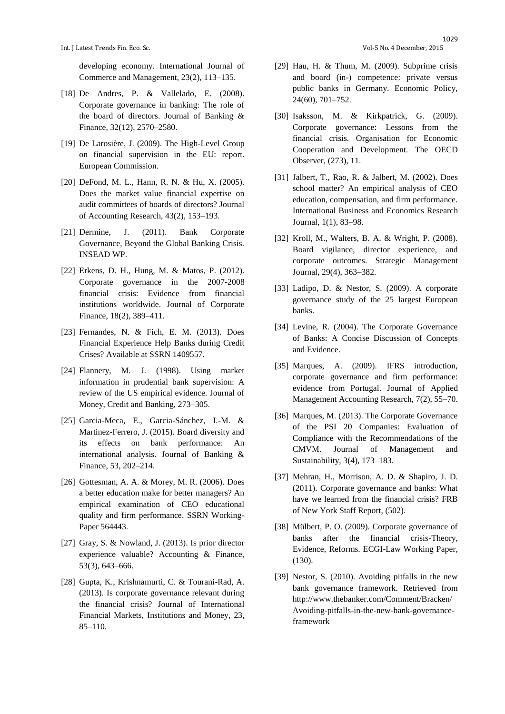developing economy. International Journal of Commerce and Management, 23(2), 113–135.

- [18] De Andres, P. & Vallelado, E. (2008). Corporate governance in banking: The role of the board of directors. Journal of Banking & Finance, 32(12), 2570–2580.
- [19] De Larosière, J. (2009). The High-Level Group on financial supervision in the EU: report. European Commission.
- [20] DeFond, M. L., Hann, R. N. & Hu, X. (2005). Does the market value financial expertise on audit committees of boards of directors? Journal of Accounting Research, 43(2), 153–193.
- [21] Dermine, J. (2011). Bank Corporate Governance, Beyond the Global Banking Crisis. INSEAD WP.
- [22] Erkens, D. H., Hung, M. & Matos, P. (2012). Corporate governance in the 2007-2008 financial crisis: Evidence from financial institutions worldwide. Journal of Corporate Finance, 18(2), 389–411.
- [23] Fernandes, N. & Fich, E. M. (2013). Does Financial Experience Help Banks during Credit Crises? Available at SSRN 1409557.
- [24] Flannery, M. J. (1998). Using market information in prudential bank supervision: A review of the US empirical evidence. Journal of Money, Credit and Banking, 273–305.
- [25] Garcia-Meca, E., Garcia-Sánchez, I.-M. & Martinez-Ferrero, J. (2015). Board diversity and its effects on bank performance: An international analysis. Journal of Banking & Finance, 53, 202–214.
- [26] Gottesman, A. A. & Morey, M. R. (2006). Does a better education make for better managers? An empirical examination of CEO educational quality and firm performance. SSRN Working-Paper 564443.
- [27] Gray, S. & Nowland, J. (2013). Is prior director experience valuable? Accounting & Finance, 53(3), 643–666.
- [28] Gupta, K., Krishnamurti, C. & Tourani-Rad, A. (2013). Is corporate governance relevant during the financial crisis? Journal of International Financial Markets, Institutions and Money, 23, 85–110.
- 1029
- [29] Hau, H. & Thum, M. (2009). Subprime crisis and board (in-) competence: private versus public banks in Germany. Economic Policy, 24(60), 701–752.
- [30] Isaksson, M. & Kirkpatrick, G. (2009). Corporate governance: Lessons from the financial crisis. Organisation for Economic Cooperation and Development. The OECD Observer, (273), 11.
- [31] Jalbert, T., Rao, R. & Jalbert, M. (2002). Does school matter? An empirical analysis of CEO education, compensation, and firm performance. International Business and Economics Research Journal, 1(1), 83–98.
- [32] Kroll, M., Walters, B. A. & Wright, P. (2008). Board vigilance, director experience, and corporate outcomes. Strategic Management Journal, 29(4), 363–382.
- [33] Ladipo, D. & Nestor, S. (2009). A corporate governance study of the 25 largest European banks.
- [34] Levine, R. (2004). The Corporate Governance of Banks: A Concise Discussion of Concepts and Evidence.
- [35] Marques, A. (2009). IFRS introduction, corporate governance and firm performance: evidence from Portugal. Journal of Applied Management Accounting Research, 7(2), 55–70.
- [36] Marques, M. (2013). The Corporate Governance of the PSI 20 Companies: Evaluation of Compliance with the Recommendations of the CMVM. Journal of Management and Sustainability, 3(4), 173–183.
- [37] Mehran, H., Morrison, A. D. & Shapiro, J. D. (2011). Corporate governance and banks: What have we learned from the financial crisis? FRB of New York Staff Report, (502).
- [38] Mülbert, P. O. (2009). Corporate governance of banks after the financial crisis-Theory, Evidence, Reforms. ECGI-Law Working Paper, (130).
- [39] Nestor, S. (2010). Avoiding pitfalls in the new bank governance framework. Retrieved from http://www.thebanker.com/Comment/Bracken/ Avoiding-pitfalls-in-the-new-bank-governanceframework